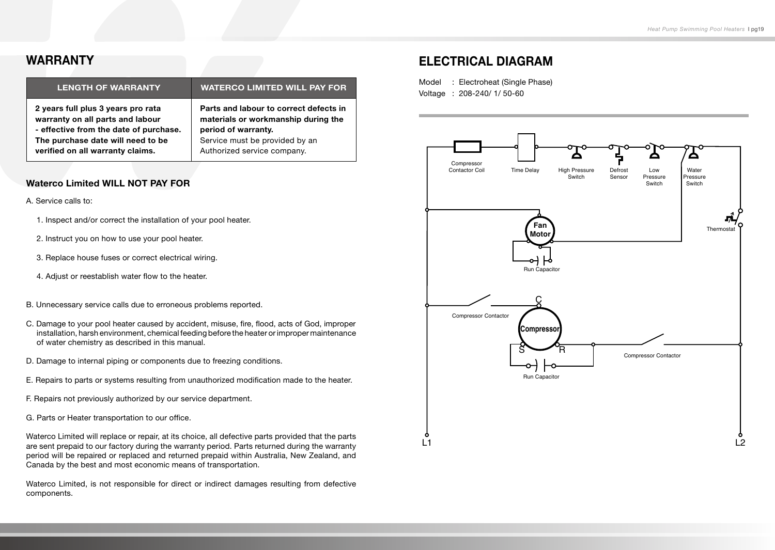#### **WARRANTY**

| <b>LENGTH OF WARRANTY</b>              | <b>WATERCO LIMITED WILL PAY FOR</b>    |
|----------------------------------------|----------------------------------------|
| 2 years full plus 3 years pro rata     | Parts and labour to correct defects in |
| warranty on all parts and labour       | materials or workmanship during the    |
| - effective from the date of purchase. | period of warranty.                    |
| The purchase date will need to be      | Service must be provided by an         |
| verified on all warranty claims.       | Authorized service company.            |

#### **Waterco Limited WILL NOT PAY FOR**

#### A. Service calls to:

- 1. Inspect and/or correct the installation of your pool heater.
- 2. Instruct you on how to use your pool heater.
- 3. Replace house fuses or correct electrical wiring.
- 4. Adjust or reestablish water flow to the heater.
- B. Unnecessary service calls due to erroneous problems reported.
- C. Damage to your pool heater caused by accident, misuse, fire, flood, acts of God, improper installation, harsh environment, chemical feeding before the heater or improper maintenance of water chemistry as described in this manual.
- D. Damage to internal piping or components due to freezing conditions.
- E. Repairs to parts or systems resulting from unauthorized modification made to the heater.
- F. Repairs not previously authorized by our service department.
- G. Parts or Heater transportation to our office.

Waterco Limited will replace or repair, at its choice, all defective parts provided that the parts are sent prepaid to our factory during the warranty period. Parts returned during the warranty period will be repaired or replaced and returned prepaid within Australia, New Zealand, and Canada by the best and most economic means of transportation.

Waterco Limited, is not responsible for direct or indirect damages resulting from defective components.

## **ELECTRICAL DIAGRAM**

Model : Electroheat (Single Phase) Voltage : 208-240/ 1/ 50-60